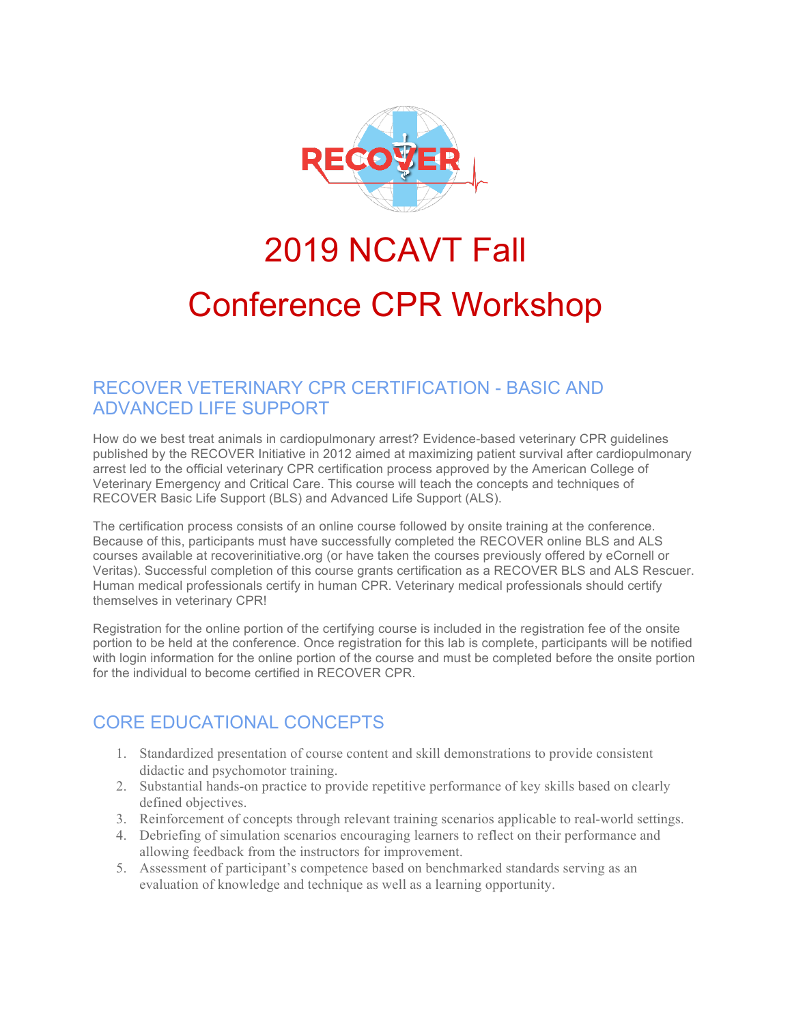

# 2019 NCAVT Fall

# Conference CPR Workshop

### RECOVER VETERINARY CPR CERTIFICATION - BASIC AND ADVANCED LIFE SUPPORT

How do we best treat animals in cardiopulmonary arrest? Evidence-based veterinary CPR guidelines published by the RECOVER Initiative in 2012 aimed at maximizing patient survival after cardiopulmonary arrest led to the official veterinary CPR certification process approved by the American College of Veterinary Emergency and Critical Care. This course will teach the concepts and techniques of RECOVER Basic Life Support (BLS) and Advanced Life Support (ALS).

The certification process consists of an online course followed by onsite training at the conference. Because of this, participants must have successfully completed the RECOVER online BLS and ALS courses available at recoverinitiative.org (or have taken the courses previously offered by eCornell or Veritas). Successful completion of this course grants certification as a RECOVER BLS and ALS Rescuer. Human medical professionals certify in human CPR. Veterinary medical professionals should certify themselves in veterinary CPR!

Registration for the online portion of the certifying course is included in the registration fee of the onsite portion to be held at the conference. Once registration for this lab is complete, participants will be notified with login information for the online portion of the course and must be completed before the onsite portion for the individual to become certified in RECOVER CPR.

#### CORE EDUCATIONAL CONCEPTS

- 1. Standardized presentation of course content and skill demonstrations to provide consistent didactic and psychomotor training.
- 2. Substantial hands-on practice to provide repetitive performance of key skills based on clearly defined objectives.
- 3. Reinforcement of concepts through relevant training scenarios applicable to real-world settings.
- 4. Debriefing of simulation scenarios encouraging learners to reflect on their performance and allowing feedback from the instructors for improvement.
- 5. Assessment of participant's competence based on benchmarked standards serving as an evaluation of knowledge and technique as well as a learning opportunity.